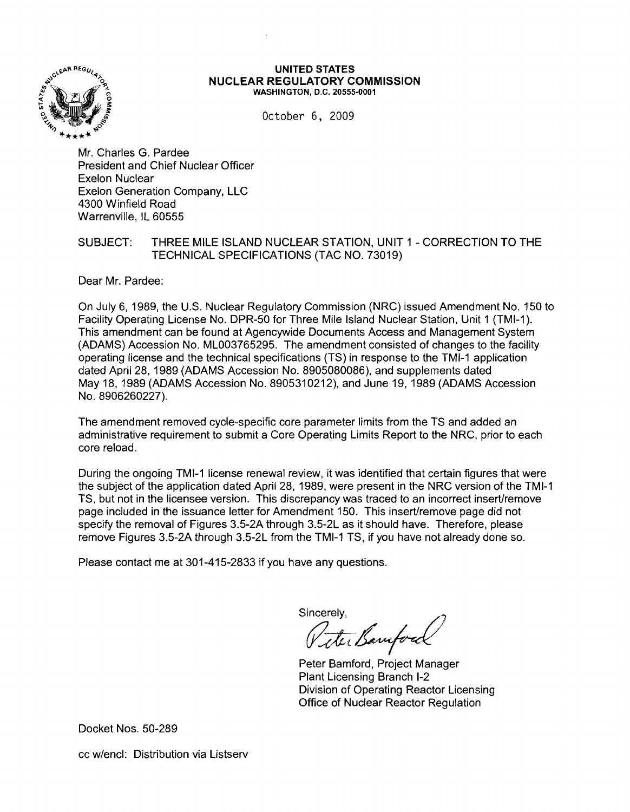

## UNITED STATES NUCLEAR REGULATORY COMMISSION WASHINGTON, D.C. 20555·0001

October 6, 2009

Mr. Charles G. Pardee President and Chief Nuclear Officer Exelon Nuclear Exelon Generation Company, LLC 4300 Winfield Road Warrenville, IL 60555

## SUBJECT: THREE MILE ISLAND NUCLEAR STATION, UNIT 1 - CORRECTION TO THE TECHNICAL SPECIFICATIONS (TAC NO. 73019)

Dear Mr. Pardee:

On July 6,1989, the U.S. Nuclear Regulatory Commission (NRC) issued Amendment No. 150 to Facility Operating License No. DPR-50 for Three Mile Island Nuclear Station, Unit 1 (TMI-1). This amendment can be found at Agencywide Documents Access and Management System (ADAMS) Accession No. ML003765295. The amendment consisted of changes to the facility operating license and the technical specifications (TS) in response to the TMI-1 application dated April 28, 1989 (ADAMS Accession No. 8905080086), and supplements dated May 18, 1989 (ADAMS Accession No. 8905310212), and June 19, 1989 (ADAMS Accession No. 8906260227).

The amendment removed cycle-specific core parameter limits from the TS and added an administrative requirement to submit a Core Operating Limits Report to the NRC, prior to each core reload.

During the ongoing TMI-1 license renewal review, it was identified that certain figures that were the subject of the application dated April 28, 1989, were present in the NRC version of the TMI-1 TS, but not in the licensee version. This discrepancy was traced to an incorrect inserUremove page included in the issuance letter for Amendment 150. This inserUremove page did not specify the removal of Figures 3.5-2A through 3.5-2L as it should have. Therefore, please remove Figures 3.5-2A through 3.5-2L from the TMI-1 TS, if you have not already done so.

Please contact me at 301-415-2833 if you have any questions.

sincerely,<br>Viter Banyford

Peter Bamford, Project Manager Plant Licensing Branch 1-2 Division of Operating Reactor Licensing Office of Nuclear Reactor Regulation

Docket Nos. 50-289

cc w/encl: Distribution via Listserv